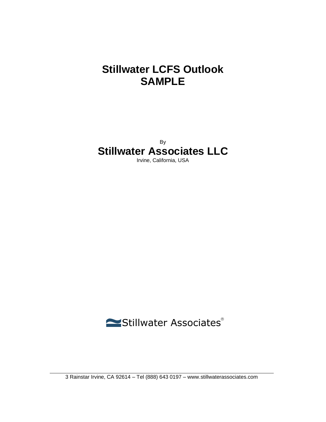# **Stillwater LCFS Outlook SAMPLE**

By **Stillwater Associates LLC**

Irvine, California, USA

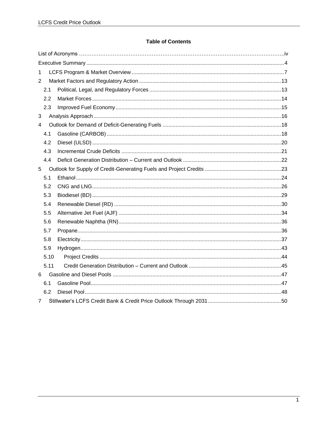#### **Table of Contents**

| $\mathbf{1}$   |  |  |
|----------------|--|--|
| $\overline{2}$ |  |  |
| 2.1            |  |  |
| 2.2            |  |  |
| 2.3            |  |  |
| 3              |  |  |
| 4              |  |  |
| 4.1            |  |  |
| 4.2            |  |  |
| 4.3            |  |  |
| 4.4            |  |  |
| 5              |  |  |
| 5.1            |  |  |
| 5.2            |  |  |
| 5.3            |  |  |
| 5.4            |  |  |
| 5.5            |  |  |
| 5.6            |  |  |
| 5.7            |  |  |
| 5.8            |  |  |
| 5.9            |  |  |
| 5.10           |  |  |
| 5.11           |  |  |
| 6              |  |  |
| 6.1            |  |  |
| 6.2            |  |  |
| 7              |  |  |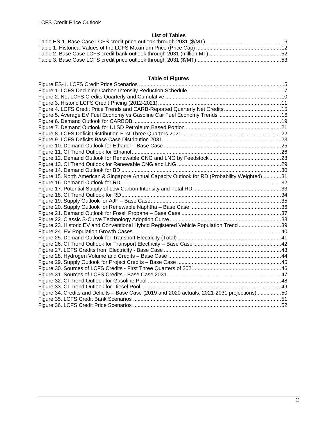#### **List of Tables**

### **Table of Figures**

| Figure 4. LCFS Credit Price Trends and CARB-Reported Quarterly Net Credits15                   |  |
|------------------------------------------------------------------------------------------------|--|
|                                                                                                |  |
|                                                                                                |  |
|                                                                                                |  |
|                                                                                                |  |
|                                                                                                |  |
|                                                                                                |  |
|                                                                                                |  |
|                                                                                                |  |
|                                                                                                |  |
|                                                                                                |  |
| Figure 15. North American & Singapore Annual Capacity Outlook for RD (Probability Weighted) 31 |  |
|                                                                                                |  |
|                                                                                                |  |
|                                                                                                |  |
|                                                                                                |  |
|                                                                                                |  |
|                                                                                                |  |
|                                                                                                |  |
| Figure 23. Historic EV and Conventional Hybrid Registered Vehicle Population Trend39           |  |
|                                                                                                |  |
|                                                                                                |  |
|                                                                                                |  |
|                                                                                                |  |
|                                                                                                |  |
|                                                                                                |  |
|                                                                                                |  |
|                                                                                                |  |
|                                                                                                |  |
|                                                                                                |  |
| Figure 34. Credits and Deficits - Base Case (2019 and 2020 actuals, 2021-2031 projections) 50  |  |
|                                                                                                |  |
|                                                                                                |  |
|                                                                                                |  |